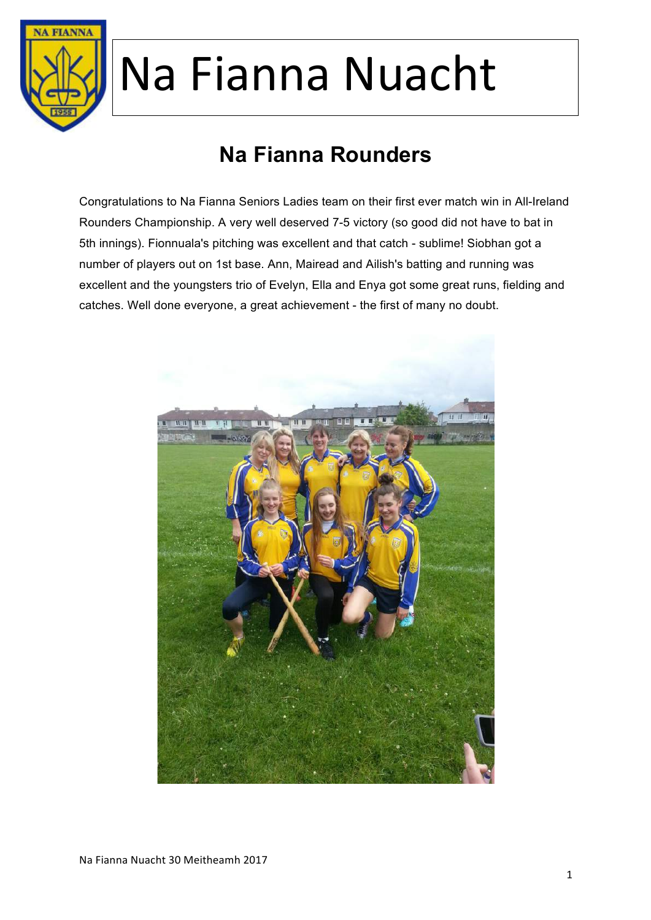

### **Na Fianna Rounders**

Congratulations to Na Fianna Seniors Ladies team on their first ever match win in All-Ireland Rounders Championship. A very well deserved 7-5 victory (so good did not have to bat in 5th innings). Fionnuala's pitching was excellent and that catch - sublime! Siobhan got a number of players out on 1st base. Ann, Mairead and Ailish's batting and running was excellent and the youngsters trio of Evelyn, Ella and Enya got some great runs, fielding and catches. Well done everyone, a great achievement - the first of many no doubt.

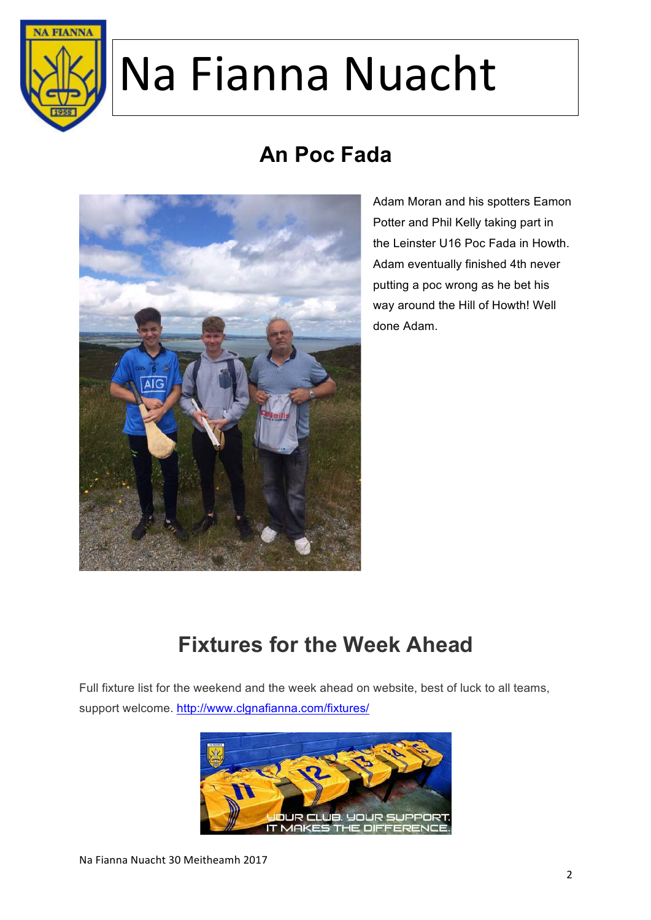

### **An Poc Fada**



Adam Moran and his spotters Eamon Potter and Phil Kelly taking part in the Leinster U16 Poc Fada in Howth. Adam eventually finished 4th never putting a poc wrong as he bet his way around the Hill of Howth! Well done Adam.

### **Fixtures for the Week Ahead**

Full fixture list for the weekend and the week ahead on website, best of luck to all teams, support welcome. http://www.clgnafianna.com/fixtures/

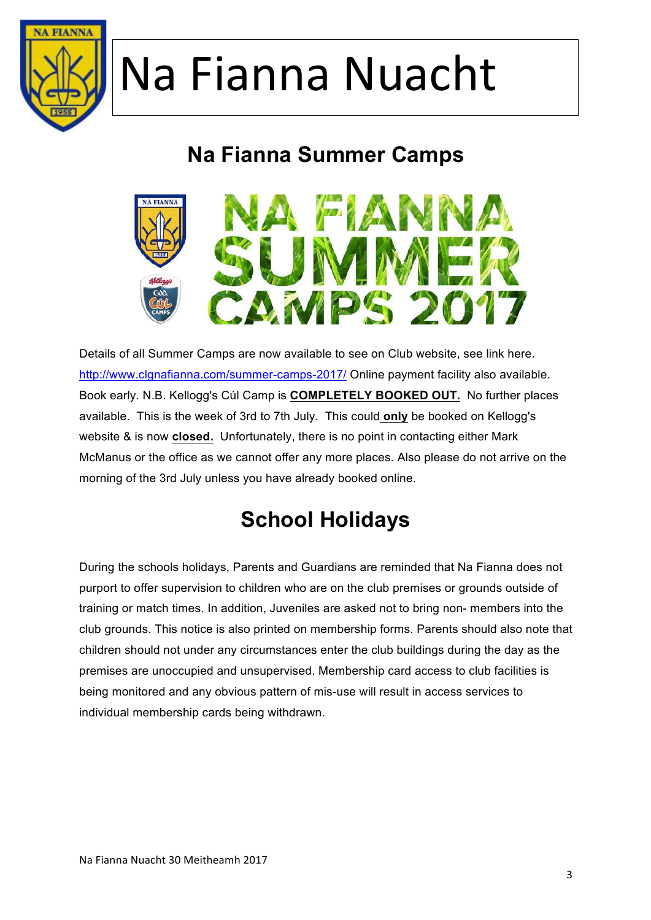

### **Na Fianna Summer Camps**



Details of all Summer Camps are now available to see on Club website, see link here. http://www.clgnafianna.com/summer-camps-2017/ Online payment facility also available. Book early. N.B. Kellogg's Cúl Camp is **COMPLETELY BOOKED OUT.** No further places available. This is the week of 3rd to 7th July. This could **only** be booked on Kellogg's website & is now **closed.** Unfortunately, there is no point in contacting either Mark McManus or the office as we cannot offer any more places. Also please do not arrive on the morning of the 3rd July unless you have already booked online.

### **School Holidays**

During the schools holidays, Parents and Guardians are reminded that Na Fianna does not purport to offer supervision to children who are on the club premises or grounds outside of training or match times. In addition, Juveniles are asked not to bring non- members into the club grounds. This notice is also printed on membership forms. Parents should also note that children should not under any circumstances enter the club buildings during the day as the premises are unoccupied and unsupervised. Membership card access to club facilities is being monitored and any obvious pattern of mis-use will result in access services to individual membership cards being withdrawn.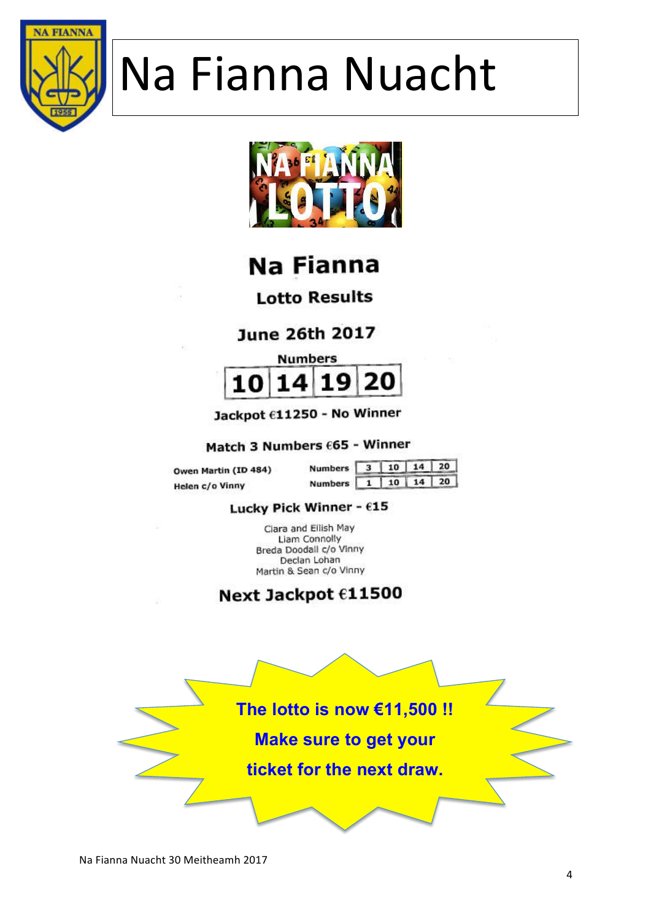



Na Fianna

**Lotto Results** 

**June 26th 2017** 



Jackpot €11250 - No Winner

Match 3 Numbers £65 - Winner

Owen Martin (ID 484) Helen c/o Vinny

| Numbers 3 10 14 20 |  |  |
|--------------------|--|--|
| Numbers 1 10 14 20 |  |  |

#### Lucky Pick Winner -  $615$

Clara and Ellish May Liam Connolly Breda Doodall c/o Vinny Declan Lohan Martin & Sean c/o Vinny

#### Next Jackpot €11500

**The lotto is now €11,500 !! Make sure to get your ticket for the next draw.**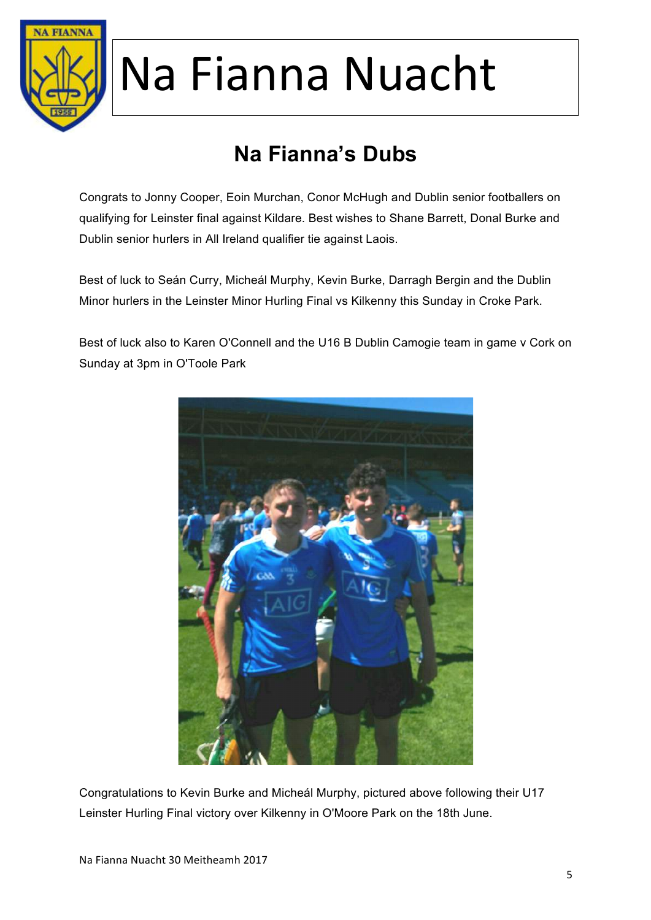

### **Na Fianna's Dubs**

Congrats to Jonny Cooper, Eoin Murchan, Conor McHugh and Dublin senior footballers on qualifying for Leinster final against Kildare. Best wishes to Shane Barrett, Donal Burke and Dublin senior hurlers in All Ireland qualifier tie against Laois.

Best of luck to Seán Curry, Micheál Murphy, Kevin Burke, Darragh Bergin and the Dublin Minor hurlers in the Leinster Minor Hurling Final vs Kilkenny this Sunday in Croke Park.

Best of luck also to Karen O'Connell and the U16 B Dublin Camogie team in game v Cork on Sunday at 3pm in O'Toole Park



Congratulations to Kevin Burke and Micheál Murphy, pictured above following their U17 Leinster Hurling Final victory over Kilkenny in O'Moore Park on the 18th June.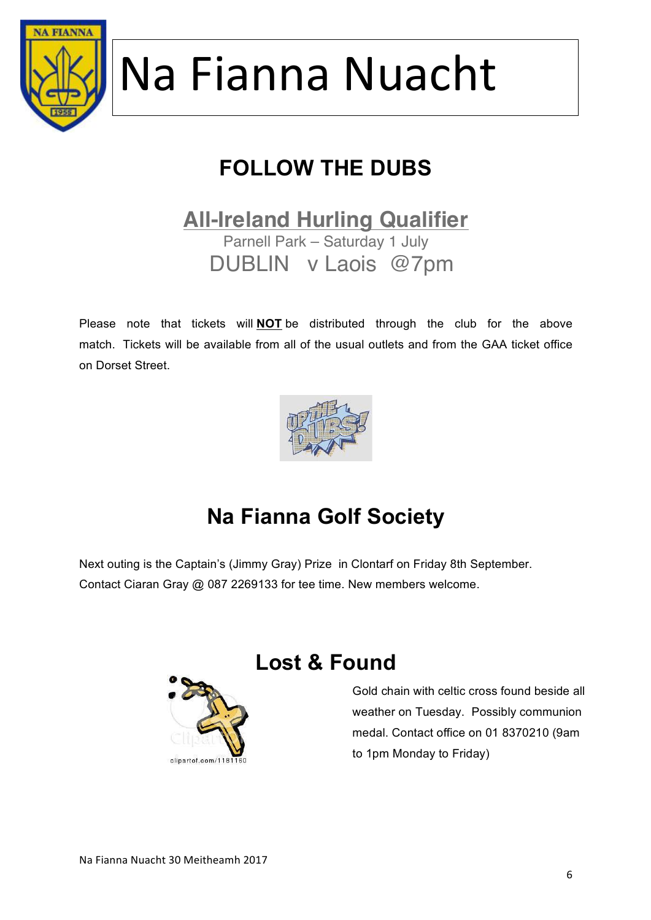

### **FOLLOW THE DUBS**

#### **All-Ireland Hurling Qualifier** Parnell Park – Saturday 1 July

DUBLIN v Laois @7pm

Please note that tickets will **NOT** be distributed through the club for the above match. Tickets will be available from all of the usual outlets and from the GAA ticket office on Dorset Street.



### **Na Fianna Golf Society**

Next outing is the Captain's (Jimmy Gray) Prize in Clontarf on Friday 8th September. Contact Ciaran Gray @ 087 2269133 for tee time. New members welcome.



#### **Lost & Found**

Gold chain with celtic cross found beside all weather on Tuesday. Possibly communion medal. Contact office on 01 8370210 (9am to 1pm Monday to Friday)